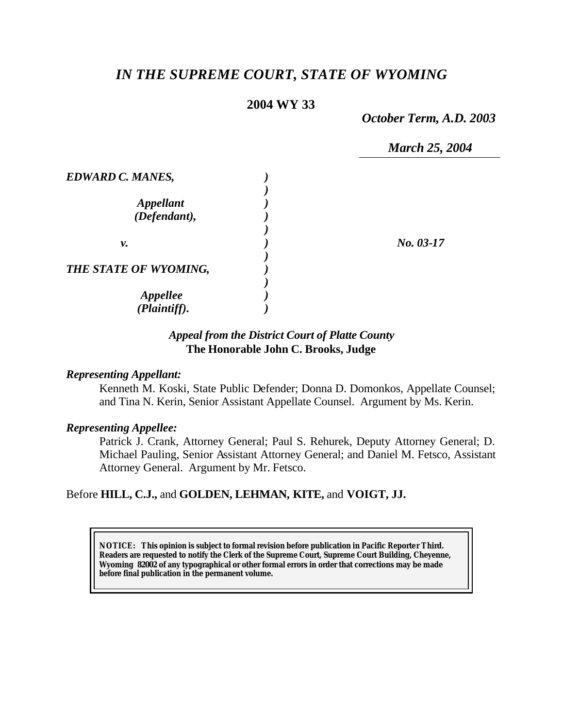# *IN THE SUPREME COURT, STATE OF WYOMING*

## **2004 WY 33**

*October Term, A.D. 2003*

*March 25, 2004*

| <b>EDWARD C. MANES,</b> |             |
|-------------------------|-------------|
|                         |             |
| <b>Appellant</b>        |             |
| (Defendant),            |             |
|                         |             |
| v.                      | $No. 03-17$ |
|                         |             |
| THE STATE OF WYOMING,   |             |
|                         |             |
| <b>Appellee</b>         |             |
| (Plaintiff).            |             |

### *Appeal from the District Court of Platte County* **The Honorable John C. Brooks, Judge**

### *Representing Appellant:*

Kenneth M. Koski, State Public Defender; Donna D. Domonkos, Appellate Counsel; and Tina N. Kerin, Senior Assistant Appellate Counsel. Argument by Ms. Kerin.

#### *Representing Appellee:*

Patrick J. Crank, Attorney General; Paul S. Rehurek, Deputy Attorney General; D. Michael Pauling, Senior Assistant Attorney General; and Daniel M. Fetsco, Assistant Attorney General. Argument by Mr. Fetsco.

### Before **HILL, C.J.,** and **GOLDEN, LEHMAN, KITE,** and **VOIGT, JJ.**

**NOTICE:** *This opinion is subject to formal revision before publication in Pacific Reporter Third. Readers are requested to notify the Clerk of the Supreme Court, Supreme Court Building, Cheyenne, Wyoming 82002 of any typographical or other formal errors in order that corrections may be made before final publication in the permanent volume.*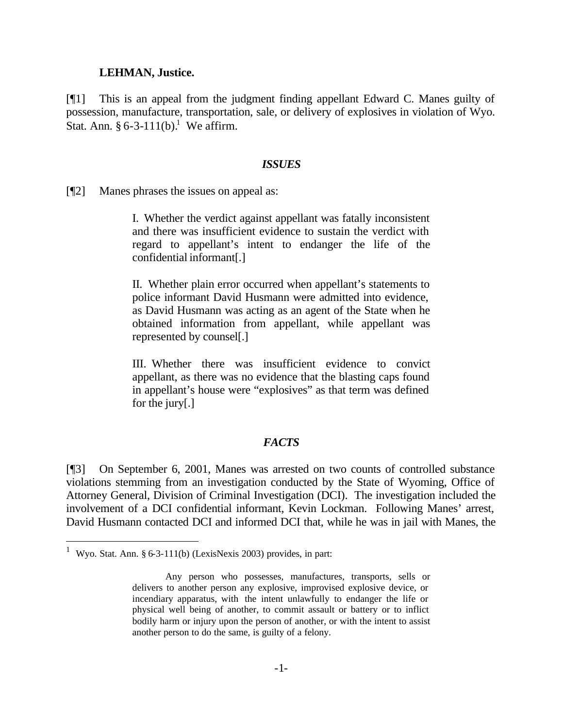#### **LEHMAN, Justice.**

[¶1] This is an appeal from the judgment finding appellant Edward C. Manes guilty of possession, manufacture, transportation, sale, or delivery of explosives in violation of Wyo. Stat. Ann.  $\S 6-3-111(b)$ .<sup>1</sup> We affirm.

#### *ISSUES*

[¶2] Manes phrases the issues on appeal as:

I. Whether the verdict against appellant was fatally inconsistent and there was insufficient evidence to sustain the verdict with regard to appellant's intent to endanger the life of the confidential informant[.]

II. Whether plain error occurred when appellant's statements to police informant David Husmann were admitted into evidence, as David Husmann was acting as an agent of the State when he obtained information from appellant, while appellant was represented by counsel[.]

III. Whether there was insufficient evidence to convict appellant, as there was no evidence that the blasting caps found in appellant's house were "explosives" as that term was defined for the jury[.]

#### *FACTS*

[¶3] On September 6, 2001, Manes was arrested on two counts of controlled substance violations stemming from an investigation conducted by the State of Wyoming, Office of Attorney General, Division of Criminal Investigation (DCI). The investigation included the involvement of a DCI confidential informant, Kevin Lockman. Following Manes' arrest, David Husmann contacted DCI and informed DCI that, while he was in jail with Manes, the

l

<sup>&</sup>lt;sup>1</sup> Wyo. Stat. Ann. § 6-3-111(b) (LexisNexis 2003) provides, in part:

Any person who possesses, manufactures, transports, sells or delivers to another person any explosive, improvised explosive device, or incendiary apparatus, with the intent unlawfully to endanger the life or physical well being of another, to commit assault or battery or to inflict bodily harm or injury upon the person of another, or with the intent to assist another person to do the same, is guilty of a felony.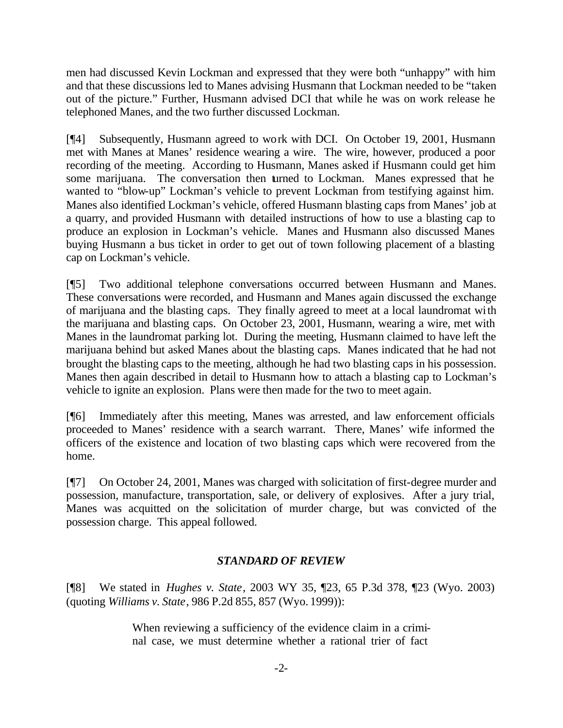men had discussed Kevin Lockman and expressed that they were both "unhappy" with him and that these discussions led to Manes advising Husmann that Lockman needed to be "taken out of the picture." Further, Husmann advised DCI that while he was on work release he telephoned Manes, and the two further discussed Lockman.

[¶4] Subsequently, Husmann agreed to work with DCI. On October 19, 2001, Husmann met with Manes at Manes' residence wearing a wire. The wire, however, produced a poor recording of the meeting. According to Husmann, Manes asked if Husmann could get him some marijuana. The conversation then turned to Lockman. Manes expressed that he wanted to "blow-up" Lockman's vehicle to prevent Lockman from testifying against him. Manes also identified Lockman's vehicle, offered Husmann blasting caps from Manes' job at a quarry, and provided Husmann with detailed instructions of how to use a blasting cap to produce an explosion in Lockman's vehicle. Manes and Husmann also discussed Manes buying Husmann a bus ticket in order to get out of town following placement of a blasting cap on Lockman's vehicle.

[¶5] Two additional telephone conversations occurred between Husmann and Manes. These conversations were recorded, and Husmann and Manes again discussed the exchange of marijuana and the blasting caps. They finally agreed to meet at a local laundromat with the marijuana and blasting caps. On October 23, 2001, Husmann, wearing a wire, met with Manes in the laundromat parking lot. During the meeting, Husmann claimed to have left the marijuana behind but asked Manes about the blasting caps. Manes indicated that he had not brought the blasting caps to the meeting, although he had two blasting caps in his possession. Manes then again described in detail to Husmann how to attach a blasting cap to Lockman's vehicle to ignite an explosion. Plans were then made for the two to meet again.

[¶6] Immediately after this meeting, Manes was arrested, and law enforcement officials proceeded to Manes' residence with a search warrant. There, Manes' wife informed the officers of the existence and location of two blasting caps which were recovered from the home.

[¶7] On October 24, 2001, Manes was charged with solicitation of first-degree murder and possession, manufacture, transportation, sale, or delivery of explosives. After a jury trial, Manes was acquitted on the solicitation of murder charge, but was convicted of the possession charge. This appeal followed.

# *STANDARD OF REVIEW*

[¶8] We stated in *Hughes v. State*, 2003 WY 35, ¶23, 65 P.3d 378, ¶23 (Wyo. 2003) (quoting *Williams v. State*, 986 P.2d 855, 857 (Wyo. 1999)):

> When reviewing a sufficiency of the evidence claim in a criminal case, we must determine whether a rational trier of fact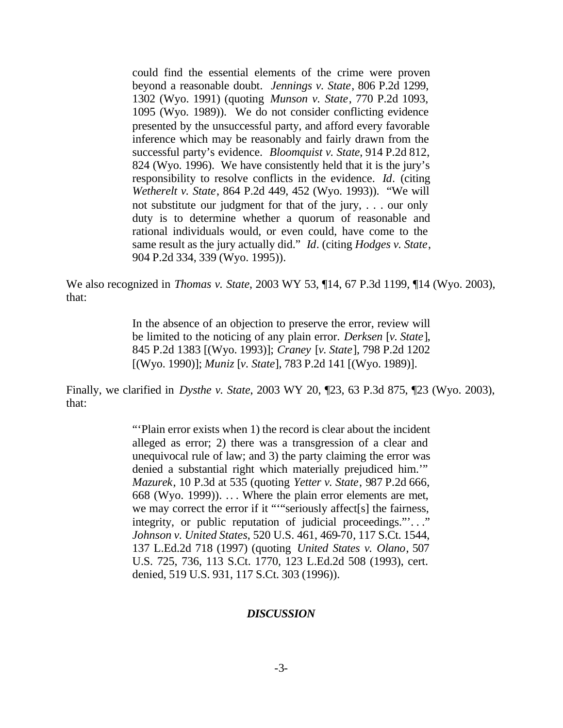could find the essential elements of the crime were proven beyond a reasonable doubt. *Jennings v. State*, 806 P.2d 1299, 1302 (Wyo. 1991) (quoting *Munson v. State*, 770 P.2d 1093, 1095 (Wyo. 1989)). We do not consider conflicting evidence presented by the unsuccessful party, and afford every favorable inference which may be reasonably and fairly drawn from the successful party's evidence. *Bloomquist v. State*, 914 P.2d 812, 824 (Wyo. 1996). We have consistently held that it is the jury's responsibility to resolve conflicts in the evidence. *Id*. (citing *Wetherelt v. State*, 864 P.2d 449, 452 (Wyo. 1993)). "We will not substitute our judgment for that of the jury, . . . our only duty is to determine whether a quorum of reasonable and rational individuals would, or even could, have come to the same result as the jury actually did." *Id*. (citing *Hodges v. State*, 904 P.2d 334, 339 (Wyo. 1995)).

We also recognized in *Thomas v. State*, 2003 WY 53, ¶14, 67 P.3d 1199, ¶14 (Wyo. 2003), that:

> In the absence of an objection to preserve the error, review will be limited to the noticing of any plain error. *Derksen* [*v. State*], 845 P.2d 1383 [(Wyo. 1993)]; *Craney* [*v. State*], 798 P.2d 1202 [(Wyo. 1990)]; *Muniz* [*v. State*], 783 P.2d 141 [(Wyo. 1989)].

Finally, we clarified in *Dysthe v. State*, 2003 WY 20, ¶23, 63 P.3d 875, ¶23 (Wyo. 2003), that:

> "'Plain error exists when 1) the record is clear about the incident alleged as error; 2) there was a transgression of a clear and unequivocal rule of law; and 3) the party claiming the error was denied a substantial right which materially prejudiced him.'" *Mazurek*, 10 P.3d at 535 (quoting *Yetter v. State*, 987 P.2d 666, 668 (Wyo. 1999)). .. . Where the plain error elements are met, we may correct the error if it ""seriously affect[s] the fairness, integrity, or public reputation of judicial proceedings."'. . ." *Johnson v. United States*, 520 U.S. 461, 469-70, 117 S.Ct. 1544, 137 L.Ed.2d 718 (1997) (quoting *United States v. Olano*, 507 U.S. 725, 736, 113 S.Ct. 1770, 123 L.Ed.2d 508 (1993), cert. denied, 519 U.S. 931, 117 S.Ct. 303 (1996)).

### *DISCUSSION*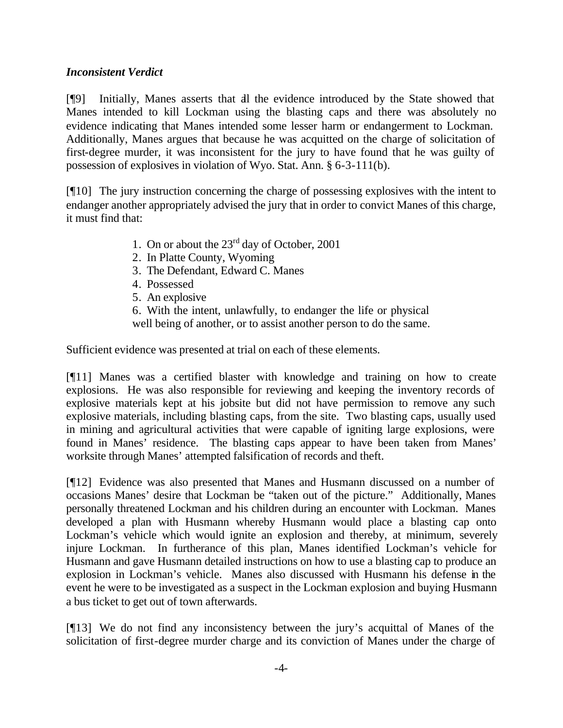### *Inconsistent Verdict*

[¶9] Initially, Manes asserts that all the evidence introduced by the State showed that Manes intended to kill Lockman using the blasting caps and there was absolutely no evidence indicating that Manes intended some lesser harm or endangerment to Lockman. Additionally, Manes argues that because he was acquitted on the charge of solicitation of first-degree murder, it was inconsistent for the jury to have found that he was guilty of possession of explosives in violation of Wyo. Stat. Ann. § 6-3-111(b).

[¶10] The jury instruction concerning the charge of possessing explosives with the intent to endanger another appropriately advised the jury that in order to convict Manes of this charge, it must find that:

- 1. On or about the 23rd day of October, 2001
- 2. In Platte County, Wyoming
- 3. The Defendant, Edward C. Manes
- 4. Possessed
- 5. An explosive

6. With the intent, unlawfully, to endanger the life or physical

well being of another, or to assist another person to do the same.

Sufficient evidence was presented at trial on each of these elements.

[¶11] Manes was a certified blaster with knowledge and training on how to create explosions. He was also responsible for reviewing and keeping the inventory records of explosive materials kept at his jobsite but did not have permission to remove any such explosive materials, including blasting caps, from the site. Two blasting caps, usually used in mining and agricultural activities that were capable of igniting large explosions, were found in Manes' residence. The blasting caps appear to have been taken from Manes' worksite through Manes' attempted falsification of records and theft.

[¶12] Evidence was also presented that Manes and Husmann discussed on a number of occasions Manes' desire that Lockman be "taken out of the picture." Additionally, Manes personally threatened Lockman and his children during an encounter with Lockman. Manes developed a plan with Husmann whereby Husmann would place a blasting cap onto Lockman's vehicle which would ignite an explosion and thereby, at minimum, severely injure Lockman. In furtherance of this plan, Manes identified Lockman's vehicle for Husmann and gave Husmann detailed instructions on how to use a blasting cap to produce an explosion in Lockman's vehicle. Manes also discussed with Husmann his defense in the event he were to be investigated as a suspect in the Lockman explosion and buying Husmann a bus ticket to get out of town afterwards.

[¶13] We do not find any inconsistency between the jury's acquittal of Manes of the solicitation of first-degree murder charge and its conviction of Manes under the charge of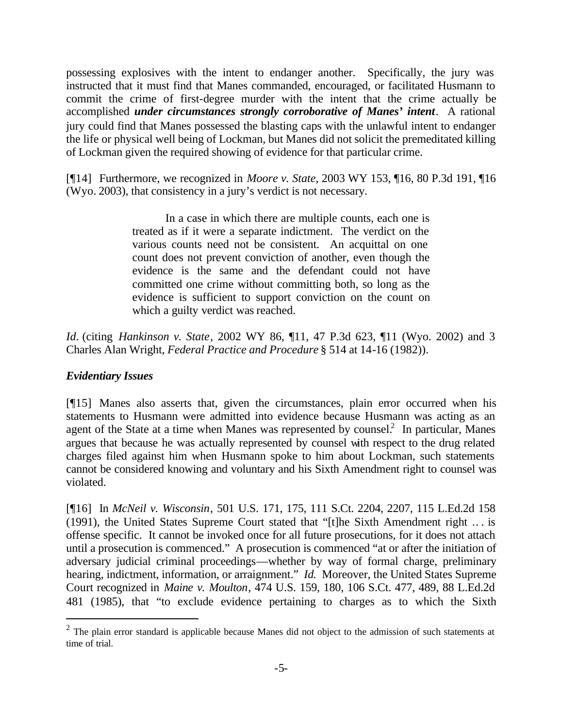possessing explosives with the intent to endanger another. Specifically, the jury was instructed that it must find that Manes commanded, encouraged, or facilitated Husmann to commit the crime of first-degree murder with the intent that the crime actually be accomplished *under circumstances strongly corroborative of Manes' intent*. A rational jury could find that Manes possessed the blasting caps with the unlawful intent to endanger the life or physical well being of Lockman, but Manes did not solicit the premeditated killing of Lockman given the required showing of evidence for that particular crime.

[¶14] Furthermore, we recognized in *Moore v. State*, 2003 WY 153, ¶16, 80 P.3d 191, ¶16 (Wyo. 2003), that consistency in a jury's verdict is not necessary.

> In a case in which there are multiple counts, each one is treated as if it were a separate indictment. The verdict on the various counts need not be consistent. An acquittal on one count does not prevent conviction of another, even though the evidence is the same and the defendant could not have committed one crime without committing both, so long as the evidence is sufficient to support conviction on the count on which a guilty verdict was reached.

*Id.* (citing *Hankinson v. State*, 2002 WY 86, ¶11, 47 P.3d 623, ¶11 (Wyo. 2002) and 3 Charles Alan Wright, *Federal Practice and Procedure* § 514 at 14-16 (1982)).

# *Evidentiary Issues*

l

[¶15] Manes also asserts that, given the circumstances, plain error occurred when his statements to Husmann were admitted into evidence because Husmann was acting as an agent of the State at a time when Manes was represented by counsel.<sup>2</sup> In particular, Manes argues that because he was actually represented by counsel with respect to the drug related charges filed against him when Husmann spoke to him about Lockman, such statements cannot be considered knowing and voluntary and his Sixth Amendment right to counsel was violated.

[¶16] In *McNeil v. Wisconsin*, 501 U.S. 171, 175, 111 S.Ct. 2204, 2207, 115 L.Ed.2d 158 (1991), the United States Supreme Court stated that "[t]he Sixth Amendment right .. . is offense specific. It cannot be invoked once for all future prosecutions, for it does not attach until a prosecution is commenced." A prosecution is commenced "at or after the initiation of adversary judicial criminal proceedings—whether by way of formal charge, preliminary hearing, indictment, information, or arraignment." *Id.* Moreover, the United States Supreme Court recognized in *Maine v. Moulton*, 474 U.S. 159, 180, 106 S.Ct. 477, 489, 88 L.Ed.2d 481 (1985), that "to exclude evidence pertaining to charges as to which the Sixth

 $2$  The plain error standard is applicable because Manes did not object to the admission of such statements at time of trial.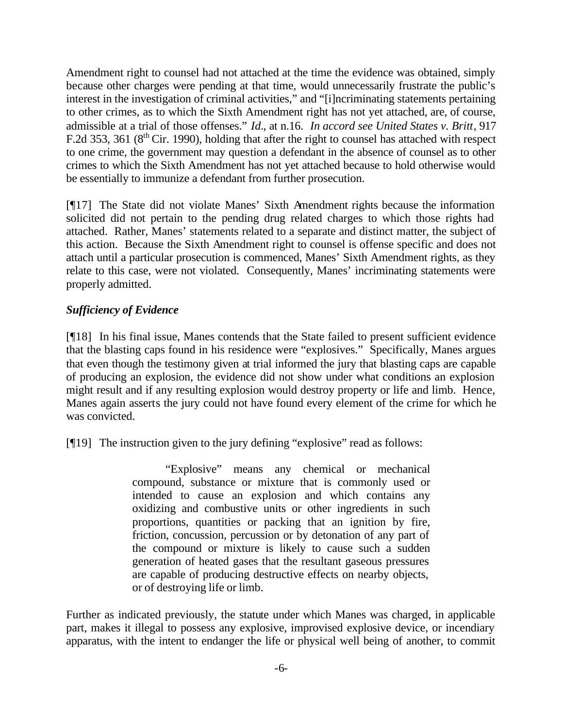Amendment right to counsel had not attached at the time the evidence was obtained, simply because other charges were pending at that time, would unnecessarily frustrate the public's interest in the investigation of criminal activities," and "[i]ncriminating statements pertaining to other crimes, as to which the Sixth Amendment right has not yet attached, are, of course, admissible at a trial of those offenses." *Id.*, at n.16. *In accord see United States v. Britt*, 917 F.2d 353, 361 ( $8<sup>th</sup>$  Cir. 1990), holding that after the right to counsel has attached with respect to one crime, the government may question a defendant in the absence of counsel as to other crimes to which the Sixth Amendment has not yet attached because to hold otherwise would be essentially to immunize a defendant from further prosecution.

[¶17] The State did not violate Manes' Sixth Amendment rights because the information solicited did not pertain to the pending drug related charges to which those rights had attached. Rather, Manes' statements related to a separate and distinct matter, the subject of this action. Because the Sixth Amendment right to counsel is offense specific and does not attach until a particular prosecution is commenced, Manes' Sixth Amendment rights, as they relate to this case, were not violated. Consequently, Manes' incriminating statements were properly admitted.

# *Sufficiency of Evidence*

[¶18] In his final issue, Manes contends that the State failed to present sufficient evidence that the blasting caps found in his residence were "explosives." Specifically, Manes argues that even though the testimony given at trial informed the jury that blasting caps are capable of producing an explosion, the evidence did not show under what conditions an explosion might result and if any resulting explosion would destroy property or life and limb. Hence, Manes again asserts the jury could not have found every element of the crime for which he was convicted.

[¶19] The instruction given to the jury defining "explosive" read as follows:

"Explosive" means any chemical or mechanical compound, substance or mixture that is commonly used or intended to cause an explosion and which contains any oxidizing and combustive units or other ingredients in such proportions, quantities or packing that an ignition by fire, friction, concussion, percussion or by detonation of any part of the compound or mixture is likely to cause such a sudden generation of heated gases that the resultant gaseous pressures are capable of producing destructive effects on nearby objects, or of destroying life or limb.

Further as indicated previously, the statute under which Manes was charged, in applicable part, makes it illegal to possess any explosive, improvised explosive device, or incendiary apparatus, with the intent to endanger the life or physical well being of another, to commit